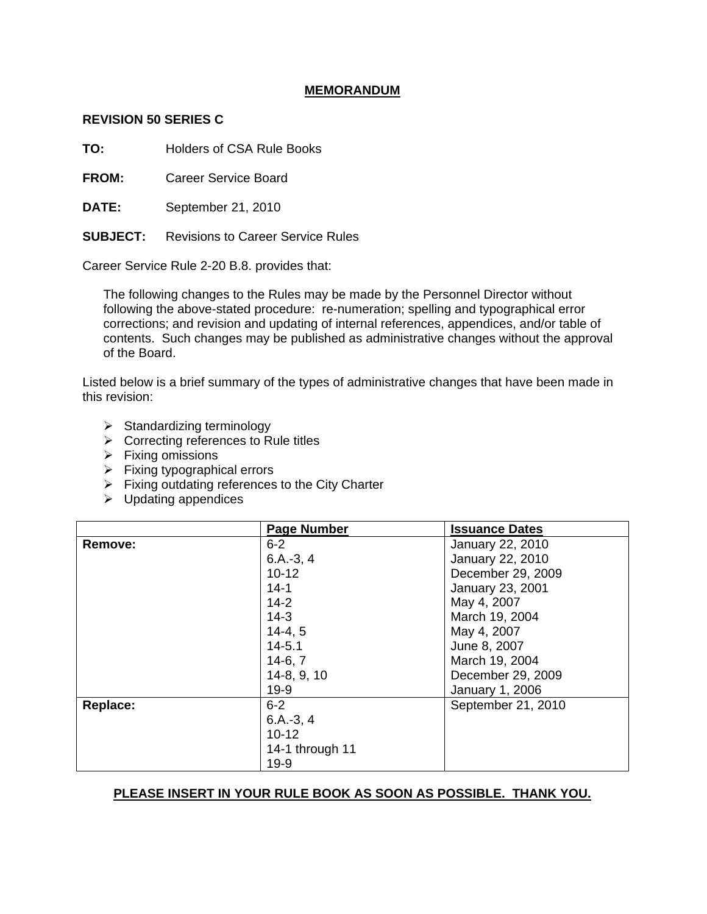# **MEMORANDUM**

### **REVISION 50 SERIES C**

**TO:** Holders of CSA Rule Books

**FROM:** Career Service Board

**DATE:** September 21, 2010

**SUBJECT:** Revisions to Career Service Rules

Career Service Rule 2-20 B.8. provides that:

The following changes to the Rules may be made by the Personnel Director without following the above-stated procedure: re-numeration; spelling and typographical error corrections; and revision and updating of internal references, appendices, and/or table of contents. Such changes may be published as administrative changes without the approval of the Board.

Listed below is a brief summary of the types of administrative changes that have been made in this revision:

- $\triangleright$  Standardizing terminology
- $\triangleright$  Correcting references to Rule titles
- $\triangleright$  Fixing omissions
- $\triangleright$  Fixing typographical errors
- $\triangleright$  Fixing outdating references to the City Charter
- $\triangleright$  Updating appendices

|                 | <b>Page Number</b> | <b>Issuance Dates</b> |
|-----------------|--------------------|-----------------------|
| Remove:         | $6-2$              | January 22, 2010      |
|                 | $6.A.-3, 4$        | January 22, 2010      |
|                 | $10 - 12$          | December 29, 2009     |
|                 | $14 - 1$           | January 23, 2001      |
|                 | $14 - 2$           | May 4, 2007           |
|                 | $14-3$             | March 19, 2004        |
|                 | $14-4.5$           | May 4, 2007           |
|                 | $14 - 5.1$         | June 8, 2007          |
|                 | $14-6, 7$          | March 19, 2004        |
|                 | $14-8, 9, 10$      | December 29, 2009     |
|                 | $19-9$             | January 1, 2006       |
| <b>Replace:</b> | $6 - 2$            | September 21, 2010    |
|                 | $6.A.-3, 4$        |                       |
|                 | $10 - 12$          |                       |
|                 | 14-1 through 11    |                       |
|                 | $19-9$             |                       |

# **PLEASE INSERT IN YOUR RULE BOOK AS SOON AS POSSIBLE. THANK YOU.**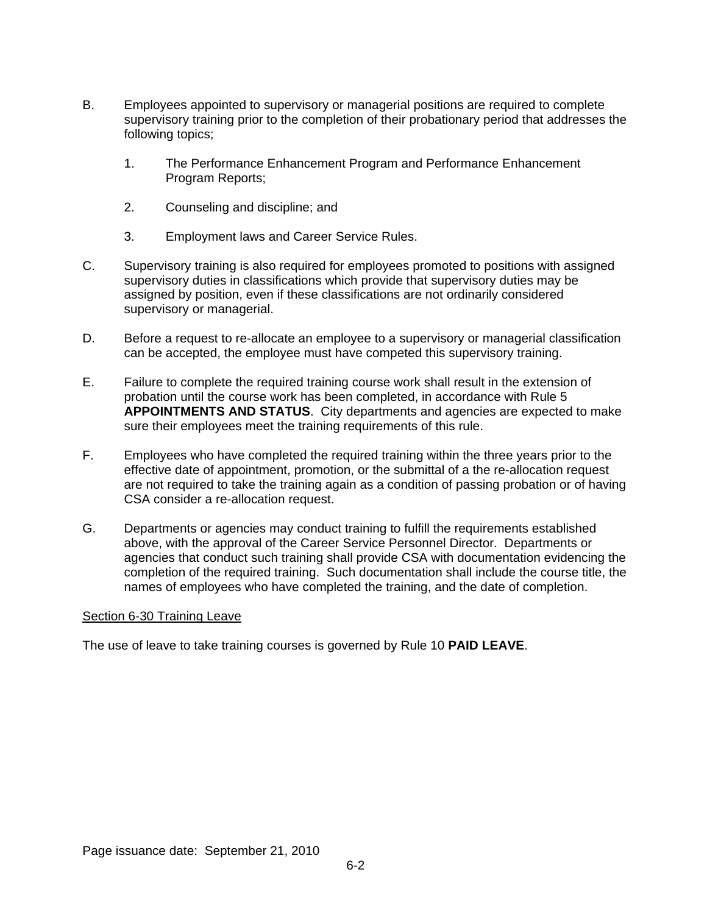- B. Employees appointed to supervisory or managerial positions are required to complete supervisory training prior to the completion of their probationary period that addresses the following topics;
	- 1. The Performance Enhancement Program and Performance Enhancement Program Reports;
	- 2. Counseling and discipline; and
	- 3. Employment laws and Career Service Rules.
- C. Supervisory training is also required for employees promoted to positions with assigned supervisory duties in classifications which provide that supervisory duties may be assigned by position, even if these classifications are not ordinarily considered supervisory or managerial.
- D. Before a request to re-allocate an employee to a supervisory or managerial classification can be accepted, the employee must have competed this supervisory training.
- E. Failure to complete the required training course work shall result in the extension of probation until the course work has been completed, in accordance with Rule 5 **APPOINTMENTS AND STATUS**. City departments and agencies are expected to make sure their employees meet the training requirements of this rule.
- F. Employees who have completed the required training within the three years prior to the effective date of appointment, promotion, or the submittal of a the re-allocation request are not required to take the training again as a condition of passing probation or of having CSA consider a re-allocation request.
- G. Departments or agencies may conduct training to fulfill the requirements established above, with the approval of the Career Service Personnel Director. Departments or agencies that conduct such training shall provide CSA with documentation evidencing the completion of the required training. Such documentation shall include the course title, the names of employees who have completed the training, and the date of completion.

#### Section 6-30 Training Leave

The use of leave to take training courses is governed by Rule 10 **PAID LEAVE**.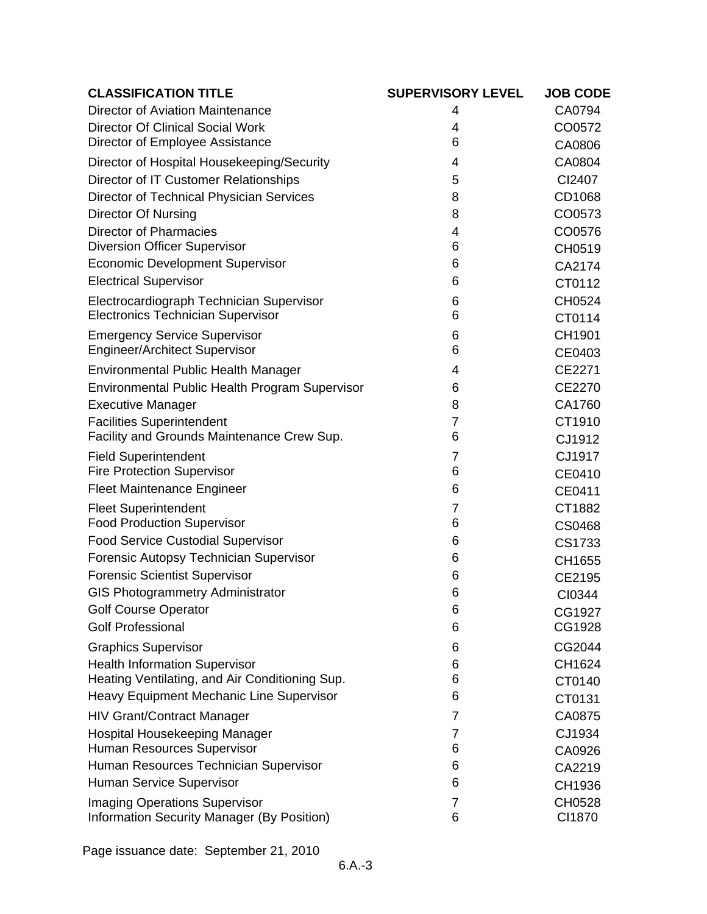| <b>CLASSIFICATION TITLE</b>                                                        | <b>SUPERVISORY LEVEL</b> | <b>JOB CODE</b>  |
|------------------------------------------------------------------------------------|--------------------------|------------------|
| Director of Aviation Maintenance                                                   | 4                        | CA0794           |
| <b>Director Of Clinical Social Work</b>                                            | 4                        | CO0572           |
| Director of Employee Assistance                                                    | 6                        | CA0806           |
| Director of Hospital Housekeeping/Security                                         | 4                        | CA0804           |
| Director of IT Customer Relationships                                              | 5                        | CI2407           |
| Director of Technical Physician Services                                           | 8                        | CD1068           |
| <b>Director Of Nursing</b>                                                         | 8                        | CO0573           |
| <b>Director of Pharmacies</b>                                                      | 4                        | CO0576           |
| <b>Diversion Officer Supervisor</b>                                                | 6                        | CH0519           |
| <b>Economic Development Supervisor</b>                                             | 6                        | CA2174           |
| <b>Electrical Supervisor</b>                                                       | 6                        | CT0112           |
| Electrocardiograph Technician Supervisor                                           | 6                        | CH0524           |
| <b>Electronics Technician Supervisor</b>                                           | 6                        | CT0114           |
| <b>Emergency Service Supervisor</b>                                                | 6                        | CH1901           |
| <b>Engineer/Architect Supervisor</b>                                               | 6                        | CE0403           |
| <b>Environmental Public Health Manager</b>                                         | 4                        | CE2271           |
| Environmental Public Health Program Supervisor                                     | 6                        | CE2270           |
| <b>Executive Manager</b>                                                           | 8                        | CA1760           |
| <b>Facilities Superintendent</b>                                                   | 7                        | CT1910           |
| Facility and Grounds Maintenance Crew Sup.                                         | 6                        | CJ1912           |
| <b>Field Superintendent</b>                                                        | $\overline{7}$           | CJ1917           |
| <b>Fire Protection Supervisor</b>                                                  | 6                        | CE0410           |
| <b>Fleet Maintenance Engineer</b>                                                  | 6                        | CE0411           |
| <b>Fleet Superintendent</b>                                                        | 7                        | CT1882           |
| <b>Food Production Supervisor</b>                                                  | 6                        | <b>CS0468</b>    |
| <b>Food Service Custodial Supervisor</b>                                           | 6                        | CS1733           |
| Forensic Autopsy Technician Supervisor                                             | 6                        | CH1655           |
| <b>Forensic Scientist Supervisor</b>                                               | 6                        | CE2195           |
| <b>GIS Photogrammetry Administrator</b>                                            | 6                        | CI0344           |
| <b>Golf Course Operator</b>                                                        | 6                        | CG1927           |
| <b>Golf Professional</b>                                                           | 6                        | CG1928           |
| <b>Graphics Supervisor</b>                                                         | 6                        | CG2044           |
| <b>Health Information Supervisor</b>                                               | 6                        | CH1624           |
| Heating Ventilating, and Air Conditioning Sup.                                     | 6                        | CT0140           |
| Heavy Equipment Mechanic Line Supervisor                                           | 6                        | CT0131           |
| <b>HIV Grant/Contract Manager</b>                                                  | 7                        | CA0875           |
| Hospital Housekeeping Manager                                                      | 7                        | CJ1934           |
| Human Resources Supervisor                                                         | 6                        | CA0926           |
| Human Resources Technician Supervisor                                              | 6                        | CA2219           |
| Human Service Supervisor                                                           | 6                        | CH1936           |
| <b>Imaging Operations Supervisor</b><br>Information Security Manager (By Position) | 7<br>6                   | CH0528<br>CI1870 |

Page issuance date: September 21, 2010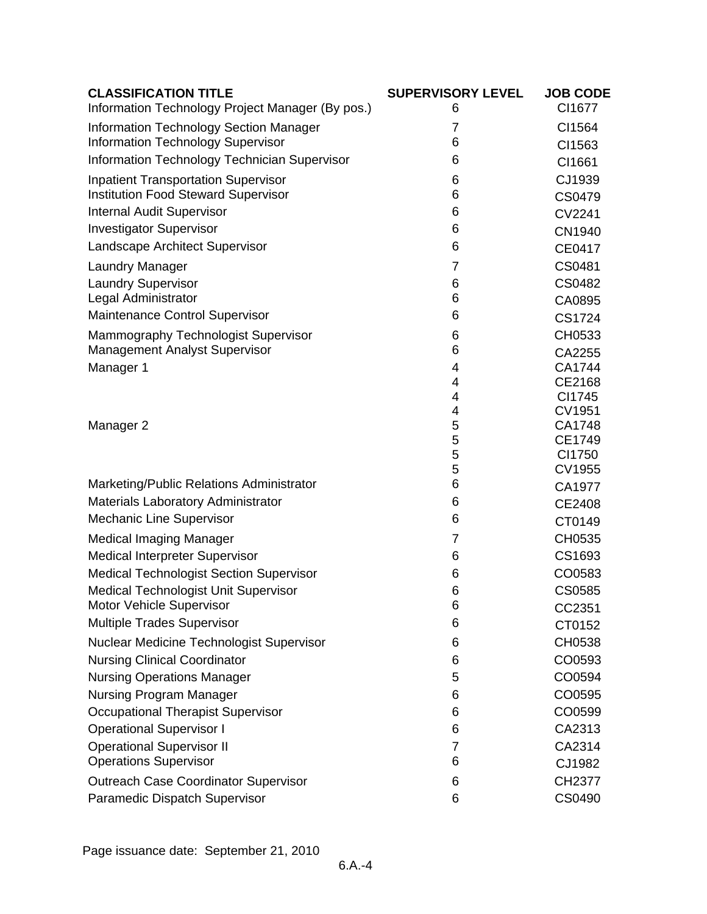| 6<br><b>Information Technology Section Manager</b><br>CI1564<br>7<br><b>Information Technology Supervisor</b><br>6<br>CI1563<br>Information Technology Technician Supervisor<br>6<br>CI1661<br>CJ1939<br><b>Inpatient Transportation Supervisor</b><br>6<br><b>Institution Food Steward Supervisor</b><br>6<br>CS0479<br><b>Internal Audit Supervisor</b><br>6<br><b>CV2241</b><br><b>Investigator Supervisor</b><br>6<br>CN1940<br>Landscape Architect Supervisor<br>6<br>CE0417<br>7<br>CS0481<br><b>Laundry Manager</b><br>CS0482<br><b>Laundry Supervisor</b><br>6<br>Legal Administrator<br>6<br>CA0895<br>Maintenance Control Supervisor<br>6<br>CS1724<br>Mammography Technologist Supervisor<br>CH0533<br>6<br>6<br><b>Management Analyst Supervisor</b><br>CA2255<br>Manager 1<br>CA1744<br>4<br>CE2168<br>4<br>CI1745<br>4<br>4<br>CV1951<br>5<br>CA1748<br>Manager 2<br>5<br>CE1749<br>5<br>CI1750<br>5<br>CV1955<br>6<br>Marketing/Public Relations Administrator<br>CA1977<br>Materials Laboratory Administrator<br>6<br>CE2408<br><b>Mechanic Line Supervisor</b><br>6<br>CT0149<br><b>Medical Imaging Manager</b><br>CH0535<br>7<br>Medical Interpreter Supervisor<br>6<br>CS1693<br><b>Medical Technologist Section Supervisor</b><br>CO0583<br>6<br>Medical Technologist Unit Supervisor<br><b>CS0585</b><br>6<br>Motor Vehicle Supervisor<br>6<br>CC2351<br><b>Multiple Trades Supervisor</b><br>6<br>CT0152<br>Nuclear Medicine Technologist Supervisor<br>CH0538<br>6<br><b>Nursing Clinical Coordinator</b><br>CO0593<br>6<br><b>Nursing Operations Manager</b><br>CO0594<br>5<br><b>Nursing Program Manager</b><br>CO0595<br>6<br><b>Occupational Therapist Supervisor</b><br>CO0599<br>6<br><b>Operational Supervisor I</b><br>CA2313<br>6<br><b>Operational Supervisor II</b><br>CA2314<br>7<br><b>Operations Supervisor</b><br>6<br>CJ1982<br><b>Outreach Case Coordinator Supervisor</b><br>CH2377<br>6 | <b>CLASSIFICATION TITLE</b>                      | <b>SUPERVISORY LEVEL</b> | <b>JOB CODE</b> |
|-----------------------------------------------------------------------------------------------------------------------------------------------------------------------------------------------------------------------------------------------------------------------------------------------------------------------------------------------------------------------------------------------------------------------------------------------------------------------------------------------------------------------------------------------------------------------------------------------------------------------------------------------------------------------------------------------------------------------------------------------------------------------------------------------------------------------------------------------------------------------------------------------------------------------------------------------------------------------------------------------------------------------------------------------------------------------------------------------------------------------------------------------------------------------------------------------------------------------------------------------------------------------------------------------------------------------------------------------------------------------------------------------------------------------------------------------------------------------------------------------------------------------------------------------------------------------------------------------------------------------------------------------------------------------------------------------------------------------------------------------------------------------------------------------------------------------------------------------------------------------------------------------------------------------------------|--------------------------------------------------|--------------------------|-----------------|
|                                                                                                                                                                                                                                                                                                                                                                                                                                                                                                                                                                                                                                                                                                                                                                                                                                                                                                                                                                                                                                                                                                                                                                                                                                                                                                                                                                                                                                                                                                                                                                                                                                                                                                                                                                                                                                                                                                                                   | Information Technology Project Manager (By pos.) |                          | CI1677          |
|                                                                                                                                                                                                                                                                                                                                                                                                                                                                                                                                                                                                                                                                                                                                                                                                                                                                                                                                                                                                                                                                                                                                                                                                                                                                                                                                                                                                                                                                                                                                                                                                                                                                                                                                                                                                                                                                                                                                   |                                                  |                          |                 |
|                                                                                                                                                                                                                                                                                                                                                                                                                                                                                                                                                                                                                                                                                                                                                                                                                                                                                                                                                                                                                                                                                                                                                                                                                                                                                                                                                                                                                                                                                                                                                                                                                                                                                                                                                                                                                                                                                                                                   |                                                  |                          |                 |
|                                                                                                                                                                                                                                                                                                                                                                                                                                                                                                                                                                                                                                                                                                                                                                                                                                                                                                                                                                                                                                                                                                                                                                                                                                                                                                                                                                                                                                                                                                                                                                                                                                                                                                                                                                                                                                                                                                                                   |                                                  |                          |                 |
|                                                                                                                                                                                                                                                                                                                                                                                                                                                                                                                                                                                                                                                                                                                                                                                                                                                                                                                                                                                                                                                                                                                                                                                                                                                                                                                                                                                                                                                                                                                                                                                                                                                                                                                                                                                                                                                                                                                                   |                                                  |                          |                 |
|                                                                                                                                                                                                                                                                                                                                                                                                                                                                                                                                                                                                                                                                                                                                                                                                                                                                                                                                                                                                                                                                                                                                                                                                                                                                                                                                                                                                                                                                                                                                                                                                                                                                                                                                                                                                                                                                                                                                   |                                                  |                          |                 |
|                                                                                                                                                                                                                                                                                                                                                                                                                                                                                                                                                                                                                                                                                                                                                                                                                                                                                                                                                                                                                                                                                                                                                                                                                                                                                                                                                                                                                                                                                                                                                                                                                                                                                                                                                                                                                                                                                                                                   |                                                  |                          |                 |
|                                                                                                                                                                                                                                                                                                                                                                                                                                                                                                                                                                                                                                                                                                                                                                                                                                                                                                                                                                                                                                                                                                                                                                                                                                                                                                                                                                                                                                                                                                                                                                                                                                                                                                                                                                                                                                                                                                                                   |                                                  |                          |                 |
|                                                                                                                                                                                                                                                                                                                                                                                                                                                                                                                                                                                                                                                                                                                                                                                                                                                                                                                                                                                                                                                                                                                                                                                                                                                                                                                                                                                                                                                                                                                                                                                                                                                                                                                                                                                                                                                                                                                                   |                                                  |                          |                 |
|                                                                                                                                                                                                                                                                                                                                                                                                                                                                                                                                                                                                                                                                                                                                                                                                                                                                                                                                                                                                                                                                                                                                                                                                                                                                                                                                                                                                                                                                                                                                                                                                                                                                                                                                                                                                                                                                                                                                   |                                                  |                          |                 |
|                                                                                                                                                                                                                                                                                                                                                                                                                                                                                                                                                                                                                                                                                                                                                                                                                                                                                                                                                                                                                                                                                                                                                                                                                                                                                                                                                                                                                                                                                                                                                                                                                                                                                                                                                                                                                                                                                                                                   |                                                  |                          |                 |
|                                                                                                                                                                                                                                                                                                                                                                                                                                                                                                                                                                                                                                                                                                                                                                                                                                                                                                                                                                                                                                                                                                                                                                                                                                                                                                                                                                                                                                                                                                                                                                                                                                                                                                                                                                                                                                                                                                                                   |                                                  |                          |                 |
|                                                                                                                                                                                                                                                                                                                                                                                                                                                                                                                                                                                                                                                                                                                                                                                                                                                                                                                                                                                                                                                                                                                                                                                                                                                                                                                                                                                                                                                                                                                                                                                                                                                                                                                                                                                                                                                                                                                                   |                                                  |                          |                 |
|                                                                                                                                                                                                                                                                                                                                                                                                                                                                                                                                                                                                                                                                                                                                                                                                                                                                                                                                                                                                                                                                                                                                                                                                                                                                                                                                                                                                                                                                                                                                                                                                                                                                                                                                                                                                                                                                                                                                   |                                                  |                          |                 |
|                                                                                                                                                                                                                                                                                                                                                                                                                                                                                                                                                                                                                                                                                                                                                                                                                                                                                                                                                                                                                                                                                                                                                                                                                                                                                                                                                                                                                                                                                                                                                                                                                                                                                                                                                                                                                                                                                                                                   |                                                  |                          |                 |
|                                                                                                                                                                                                                                                                                                                                                                                                                                                                                                                                                                                                                                                                                                                                                                                                                                                                                                                                                                                                                                                                                                                                                                                                                                                                                                                                                                                                                                                                                                                                                                                                                                                                                                                                                                                                                                                                                                                                   |                                                  |                          |                 |
|                                                                                                                                                                                                                                                                                                                                                                                                                                                                                                                                                                                                                                                                                                                                                                                                                                                                                                                                                                                                                                                                                                                                                                                                                                                                                                                                                                                                                                                                                                                                                                                                                                                                                                                                                                                                                                                                                                                                   |                                                  |                          |                 |
|                                                                                                                                                                                                                                                                                                                                                                                                                                                                                                                                                                                                                                                                                                                                                                                                                                                                                                                                                                                                                                                                                                                                                                                                                                                                                                                                                                                                                                                                                                                                                                                                                                                                                                                                                                                                                                                                                                                                   |                                                  |                          |                 |
|                                                                                                                                                                                                                                                                                                                                                                                                                                                                                                                                                                                                                                                                                                                                                                                                                                                                                                                                                                                                                                                                                                                                                                                                                                                                                                                                                                                                                                                                                                                                                                                                                                                                                                                                                                                                                                                                                                                                   |                                                  |                          |                 |
|                                                                                                                                                                                                                                                                                                                                                                                                                                                                                                                                                                                                                                                                                                                                                                                                                                                                                                                                                                                                                                                                                                                                                                                                                                                                                                                                                                                                                                                                                                                                                                                                                                                                                                                                                                                                                                                                                                                                   |                                                  |                          |                 |
|                                                                                                                                                                                                                                                                                                                                                                                                                                                                                                                                                                                                                                                                                                                                                                                                                                                                                                                                                                                                                                                                                                                                                                                                                                                                                                                                                                                                                                                                                                                                                                                                                                                                                                                                                                                                                                                                                                                                   |                                                  |                          |                 |
|                                                                                                                                                                                                                                                                                                                                                                                                                                                                                                                                                                                                                                                                                                                                                                                                                                                                                                                                                                                                                                                                                                                                                                                                                                                                                                                                                                                                                                                                                                                                                                                                                                                                                                                                                                                                                                                                                                                                   |                                                  |                          |                 |
|                                                                                                                                                                                                                                                                                                                                                                                                                                                                                                                                                                                                                                                                                                                                                                                                                                                                                                                                                                                                                                                                                                                                                                                                                                                                                                                                                                                                                                                                                                                                                                                                                                                                                                                                                                                                                                                                                                                                   |                                                  |                          |                 |
|                                                                                                                                                                                                                                                                                                                                                                                                                                                                                                                                                                                                                                                                                                                                                                                                                                                                                                                                                                                                                                                                                                                                                                                                                                                                                                                                                                                                                                                                                                                                                                                                                                                                                                                                                                                                                                                                                                                                   |                                                  |                          |                 |
|                                                                                                                                                                                                                                                                                                                                                                                                                                                                                                                                                                                                                                                                                                                                                                                                                                                                                                                                                                                                                                                                                                                                                                                                                                                                                                                                                                                                                                                                                                                                                                                                                                                                                                                                                                                                                                                                                                                                   |                                                  |                          |                 |
|                                                                                                                                                                                                                                                                                                                                                                                                                                                                                                                                                                                                                                                                                                                                                                                                                                                                                                                                                                                                                                                                                                                                                                                                                                                                                                                                                                                                                                                                                                                                                                                                                                                                                                                                                                                                                                                                                                                                   |                                                  |                          |                 |
|                                                                                                                                                                                                                                                                                                                                                                                                                                                                                                                                                                                                                                                                                                                                                                                                                                                                                                                                                                                                                                                                                                                                                                                                                                                                                                                                                                                                                                                                                                                                                                                                                                                                                                                                                                                                                                                                                                                                   |                                                  |                          |                 |
|                                                                                                                                                                                                                                                                                                                                                                                                                                                                                                                                                                                                                                                                                                                                                                                                                                                                                                                                                                                                                                                                                                                                                                                                                                                                                                                                                                                                                                                                                                                                                                                                                                                                                                                                                                                                                                                                                                                                   |                                                  |                          |                 |
|                                                                                                                                                                                                                                                                                                                                                                                                                                                                                                                                                                                                                                                                                                                                                                                                                                                                                                                                                                                                                                                                                                                                                                                                                                                                                                                                                                                                                                                                                                                                                                                                                                                                                                                                                                                                                                                                                                                                   |                                                  |                          |                 |
|                                                                                                                                                                                                                                                                                                                                                                                                                                                                                                                                                                                                                                                                                                                                                                                                                                                                                                                                                                                                                                                                                                                                                                                                                                                                                                                                                                                                                                                                                                                                                                                                                                                                                                                                                                                                                                                                                                                                   |                                                  |                          |                 |
|                                                                                                                                                                                                                                                                                                                                                                                                                                                                                                                                                                                                                                                                                                                                                                                                                                                                                                                                                                                                                                                                                                                                                                                                                                                                                                                                                                                                                                                                                                                                                                                                                                                                                                                                                                                                                                                                                                                                   |                                                  |                          |                 |
|                                                                                                                                                                                                                                                                                                                                                                                                                                                                                                                                                                                                                                                                                                                                                                                                                                                                                                                                                                                                                                                                                                                                                                                                                                                                                                                                                                                                                                                                                                                                                                                                                                                                                                                                                                                                                                                                                                                                   |                                                  |                          |                 |
|                                                                                                                                                                                                                                                                                                                                                                                                                                                                                                                                                                                                                                                                                                                                                                                                                                                                                                                                                                                                                                                                                                                                                                                                                                                                                                                                                                                                                                                                                                                                                                                                                                                                                                                                                                                                                                                                                                                                   |                                                  |                          |                 |
|                                                                                                                                                                                                                                                                                                                                                                                                                                                                                                                                                                                                                                                                                                                                                                                                                                                                                                                                                                                                                                                                                                                                                                                                                                                                                                                                                                                                                                                                                                                                                                                                                                                                                                                                                                                                                                                                                                                                   |                                                  |                          |                 |
|                                                                                                                                                                                                                                                                                                                                                                                                                                                                                                                                                                                                                                                                                                                                                                                                                                                                                                                                                                                                                                                                                                                                                                                                                                                                                                                                                                                                                                                                                                                                                                                                                                                                                                                                                                                                                                                                                                                                   |                                                  |                          |                 |
|                                                                                                                                                                                                                                                                                                                                                                                                                                                                                                                                                                                                                                                                                                                                                                                                                                                                                                                                                                                                                                                                                                                                                                                                                                                                                                                                                                                                                                                                                                                                                                                                                                                                                                                                                                                                                                                                                                                                   |                                                  |                          |                 |
|                                                                                                                                                                                                                                                                                                                                                                                                                                                                                                                                                                                                                                                                                                                                                                                                                                                                                                                                                                                                                                                                                                                                                                                                                                                                                                                                                                                                                                                                                                                                                                                                                                                                                                                                                                                                                                                                                                                                   |                                                  |                          |                 |
|                                                                                                                                                                                                                                                                                                                                                                                                                                                                                                                                                                                                                                                                                                                                                                                                                                                                                                                                                                                                                                                                                                                                                                                                                                                                                                                                                                                                                                                                                                                                                                                                                                                                                                                                                                                                                                                                                                                                   |                                                  |                          |                 |
|                                                                                                                                                                                                                                                                                                                                                                                                                                                                                                                                                                                                                                                                                                                                                                                                                                                                                                                                                                                                                                                                                                                                                                                                                                                                                                                                                                                                                                                                                                                                                                                                                                                                                                                                                                                                                                                                                                                                   |                                                  |                          |                 |
|                                                                                                                                                                                                                                                                                                                                                                                                                                                                                                                                                                                                                                                                                                                                                                                                                                                                                                                                                                                                                                                                                                                                                                                                                                                                                                                                                                                                                                                                                                                                                                                                                                                                                                                                                                                                                                                                                                                                   |                                                  |                          |                 |
| CS0490<br>Paramedic Dispatch Supervisor<br>6                                                                                                                                                                                                                                                                                                                                                                                                                                                                                                                                                                                                                                                                                                                                                                                                                                                                                                                                                                                                                                                                                                                                                                                                                                                                                                                                                                                                                                                                                                                                                                                                                                                                                                                                                                                                                                                                                      |                                                  |                          |                 |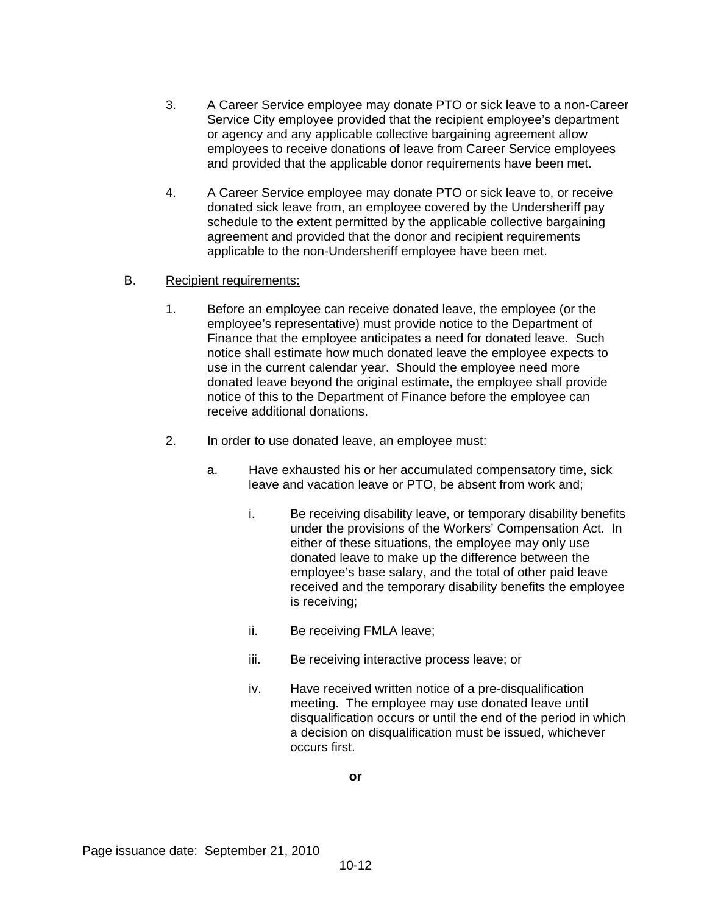- 3. A Career Service employee may donate PTO or sick leave to a non-Career Service City employee provided that the recipient employee's department or agency and any applicable collective bargaining agreement allow employees to receive donations of leave from Career Service employees and provided that the applicable donor requirements have been met.
- 4. A Career Service employee may donate PTO or sick leave to, or receive donated sick leave from, an employee covered by the Undersheriff pay schedule to the extent permitted by the applicable collective bargaining agreement and provided that the donor and recipient requirements applicable to the non-Undersheriff employee have been met.

# B. Recipient requirements:

- 1. Before an employee can receive donated leave, the employee (or the employee's representative) must provide notice to the Department of Finance that the employee anticipates a need for donated leave. Such notice shall estimate how much donated leave the employee expects to use in the current calendar year. Should the employee need more donated leave beyond the original estimate, the employee shall provide notice of this to the Department of Finance before the employee can receive additional donations.
- 2. In order to use donated leave, an employee must:
	- a. Have exhausted his or her accumulated compensatory time, sick leave and vacation leave or PTO, be absent from work and;
		- i. Be receiving disability leave, or temporary disability benefits under the provisions of the Workers' Compensation Act. In either of these situations, the employee may only use donated leave to make up the difference between the employee's base salary, and the total of other paid leave received and the temporary disability benefits the employee is receiving;
		- ii. Be receiving FMLA leave;
		- iii. Be receiving interactive process leave; or
		- iv. Have received written notice of a pre-disqualification meeting. The employee may use donated leave until disqualification occurs or until the end of the period in which a decision on disqualification must be issued, whichever occurs first.

**or** 

Page issuance date: September 21, 2010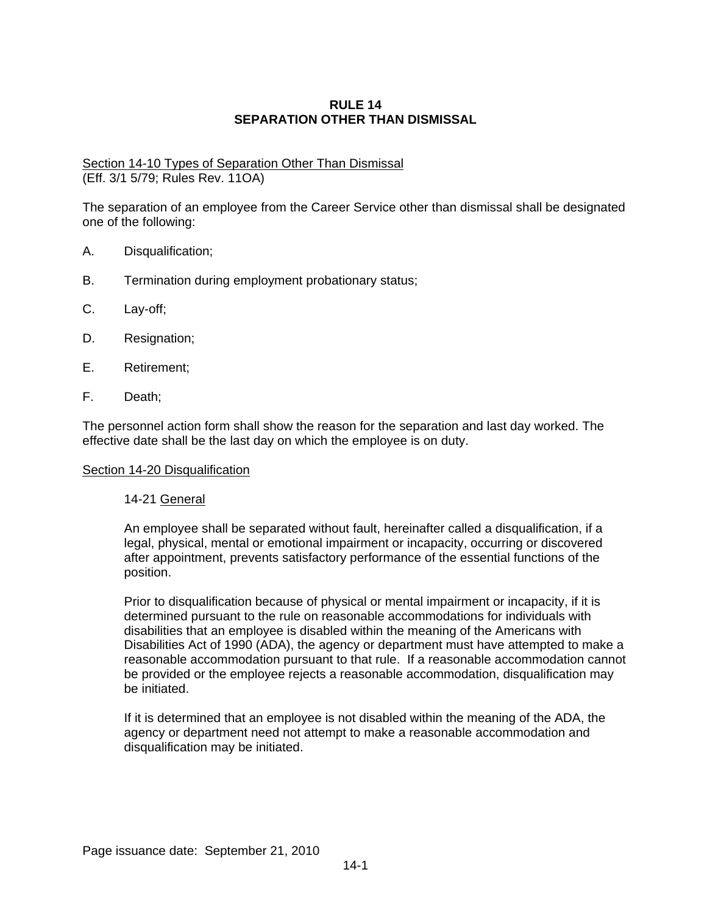# **RULE 14 SEPARATION OTHER THAN DISMISSAL**

#### Section 14-10 Types of Separation Other Than Dismissal (Eff. 3/1 5/79; Rules Rev. 11OA)

The separation of an employee from the Career Service other than dismissal shall be designated one of the following:

- A. Disqualification;
- B. Termination during employment probationary status;
- C. Lay-off;
- D. Resignation;
- E. Retirement;
- F. Death;

The personnel action form shall show the reason for the separation and last day worked. The effective date shall be the last day on which the employee is on duty.

#### Section 14-20 Disqualification

#### 14-21 General

An employee shall be separated without fault, hereinafter called a disqualification, if a legal, physical, mental or emotional impairment or incapacity, occurring or discovered after appointment, prevents satisfactory performance of the essential functions of the position.

Prior to disqualification because of physical or mental impairment or incapacity, if it is determined pursuant to the rule on reasonable accommodations for individuals with disabilities that an employee is disabled within the meaning of the Americans with Disabilities Act of 1990 (ADA), the agency or department must have attempted to make a reasonable accommodation pursuant to that rule. If a reasonable accommodation cannot be provided or the employee rejects a reasonable accommodation, disqualification may be initiated.

If it is determined that an employee is not disabled within the meaning of the ADA, the agency or department need not attempt to make a reasonable accommodation and disqualification may be initiated.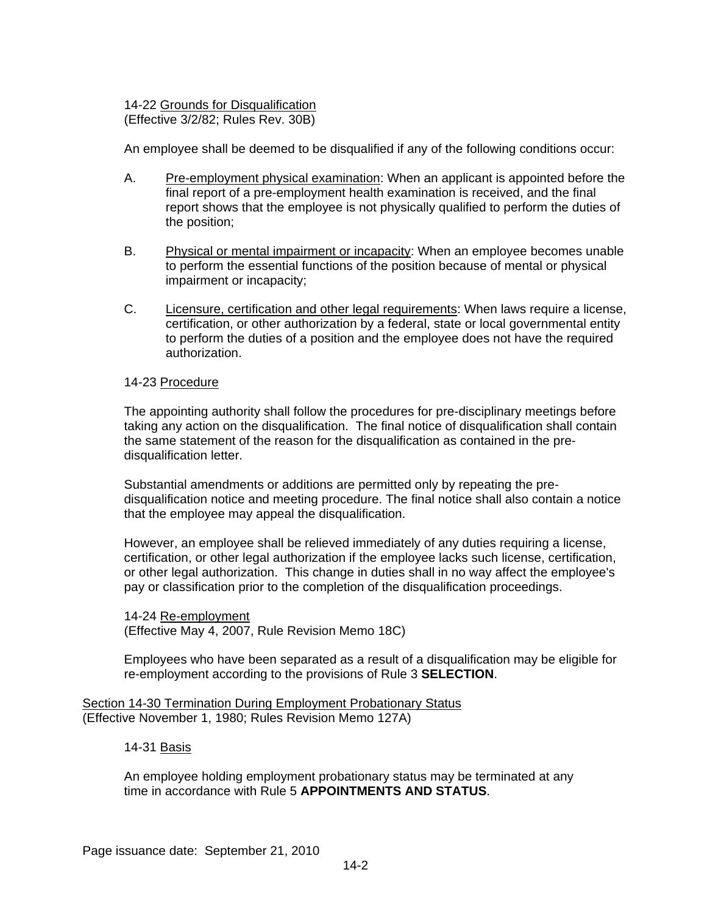14-22 Grounds for Disqualification (Effective 3/2/82; Rules Rev. 30B)

An employee shall be deemed to be disqualified if any of the following conditions occur:

- A. Pre-employment physical examination: When an applicant is appointed before the final report of a pre-employment health examination is received, and the final report shows that the employee is not physically qualified to perform the duties of the position;
- B. Physical or mental impairment or incapacity: When an employee becomes unable to perform the essential functions of the position because of mental or physical impairment or incapacity;
- C. Licensure, certification and other legal requirements: When laws require a license, certification, or other authorization by a federal, state or local governmental entity to perform the duties of a position and the employee does not have the required authorization.

# 14-23 Procedure

The appointing authority shall follow the procedures for pre-disciplinary meetings before taking any action on the disqualification. The final notice of disqualification shall contain the same statement of the reason for the disqualification as contained in the predisqualification letter.

Substantial amendments or additions are permitted only by repeating the predisqualification notice and meeting procedure. The final notice shall also contain a notice that the employee may appeal the disqualification.

However, an employee shall be relieved immediately of any duties requiring a license, certification, or other legal authorization if the employee lacks such license, certification, or other legal authorization. This change in duties shall in no way affect the employee's pay or classification prior to the completion of the disqualification proceedings.

14-24 Re-employment (Effective May 4, 2007, Rule Revision Memo 18C)

Employees who have been separated as a result of a disqualification may be eligible for re-employment according to the provisions of Rule 3 **SELECTION**.

Section 14-30 Termination During Employment Probationary Status (Effective November 1, 1980; Rules Revision Memo 127A)

14-31 Basis

An employee holding employment probationary status may be terminated at any time in accordance with Rule 5 **APPOINTMENTS AND STATUS**.

Page issuance date: September 21, 2010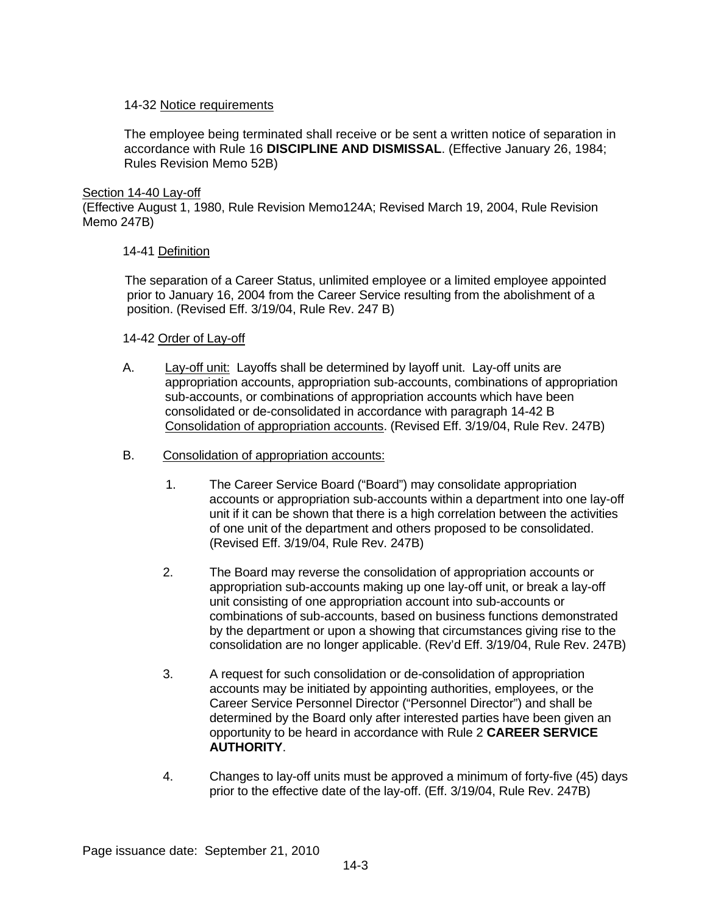# 14-32 Notice requirements

The employee being terminated shall receive or be sent a written notice of separation in accordance with Rule 16 **DISCIPLINE AND DISMISSAL**. (Effective January 26, 1984; Rules Revision Memo 52B)

### Section 14-40 Lay-off

(Effective August 1, 1980, Rule Revision Memo124A; Revised March 19, 2004, Rule Revision Memo 247B)

# 14-41 Definition

The separation of a Career Status, unlimited employee or a limited employee appointed prior to January 16, 2004 from the Career Service resulting from the abolishment of a position. (Revised Eff. 3/19/04, Rule Rev. 247 B)

# 14-42 Order of Lay-off

- A. Lay-off unit: Layoffs shall be determined by layoff unit. Lay-off units are appropriation accounts, appropriation sub-accounts, combinations of appropriation sub-accounts, or combinations of appropriation accounts which have been consolidated or de-consolidated in accordance with paragraph 14-42 B Consolidation of appropriation accounts. (Revised Eff. 3/19/04, Rule Rev. 247B)
- B. Consolidation of appropriation accounts:
	- 1. The Career Service Board ("Board") may consolidate appropriation accounts or appropriation sub-accounts within a department into one lay-off unit if it can be shown that there is a high correlation between the activities of one unit of the department and others proposed to be consolidated. (Revised Eff. 3/19/04, Rule Rev. 247B)
	- 2. The Board may reverse the consolidation of appropriation accounts or appropriation sub-accounts making up one lay-off unit, or break a lay-off unit consisting of one appropriation account into sub-accounts or combinations of sub-accounts, based on business functions demonstrated by the department or upon a showing that circumstances giving rise to the consolidation are no longer applicable. (Rev'd Eff. 3/19/04, Rule Rev. 247B)
	- 3. A request for such consolidation or de-consolidation of appropriation accounts may be initiated by appointing authorities, employees, or the Career Service Personnel Director ("Personnel Director") and shall be determined by the Board only after interested parties have been given an opportunity to be heard in accordance with Rule 2 **CAREER SERVICE AUTHORITY**.
	- 4. Changes to lay-off units must be approved a minimum of forty-five (45) days prior to the effective date of the lay-off. (Eff. 3/19/04, Rule Rev. 247B)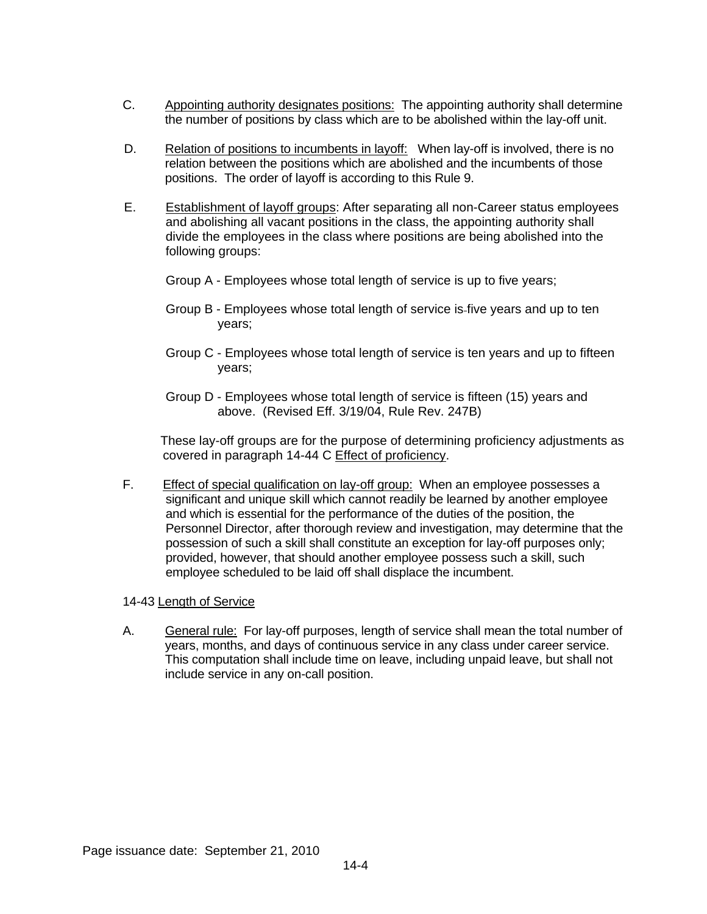- C. Appointing authority designates positions: The appointing authority shall determine the number of positions by class which are to be abolished within the lay-off unit.
- D. Relation of positions to incumbents in layoff: When lay-off is involved, there is no relation between the positions which are abolished and the incumbents of those positions. The order of layoff is according to this Rule 9.
- E. Establishment of layoff groups: After separating all non-Career status employees and abolishing all vacant positions in the class, the appointing authority shall divide the employees in the class where positions are being abolished into the following groups:
	- Group A Employees whose total length of service is up to five years;
	- Group B Employees whose total length of service is five years and up to ten years;
	- Group C Employees whose total length of service is ten years and up to fifteen years;
	- Group D Employees whose total length of service is fifteen (15) years and above. (Revised Eff. 3/19/04, Rule Rev. 247B)

These lay-off groups are for the purpose of determining proficiency adjustments as covered in paragraph 14-44 C Effect of proficiency.

F. Effect of special qualification on lay-off group: When an employee possesses a significant and unique skill which cannot readily be learned by another employee and which is essential for the performance of the duties of the position, the Personnel Director, after thorough review and investigation, may determine that the possession of such a skill shall constitute an exception for lay-off purposes only; provided, however, that should another employee possess such a skill, such employee scheduled to be laid off shall displace the incumbent.

# 14-43 Length of Service

A. General rule: For lay-off purposes, length of service shall mean the total number of years, months, and days of continuous service in any class under career service. This computation shall include time on leave, including unpaid leave, but shall not include service in any on-call position.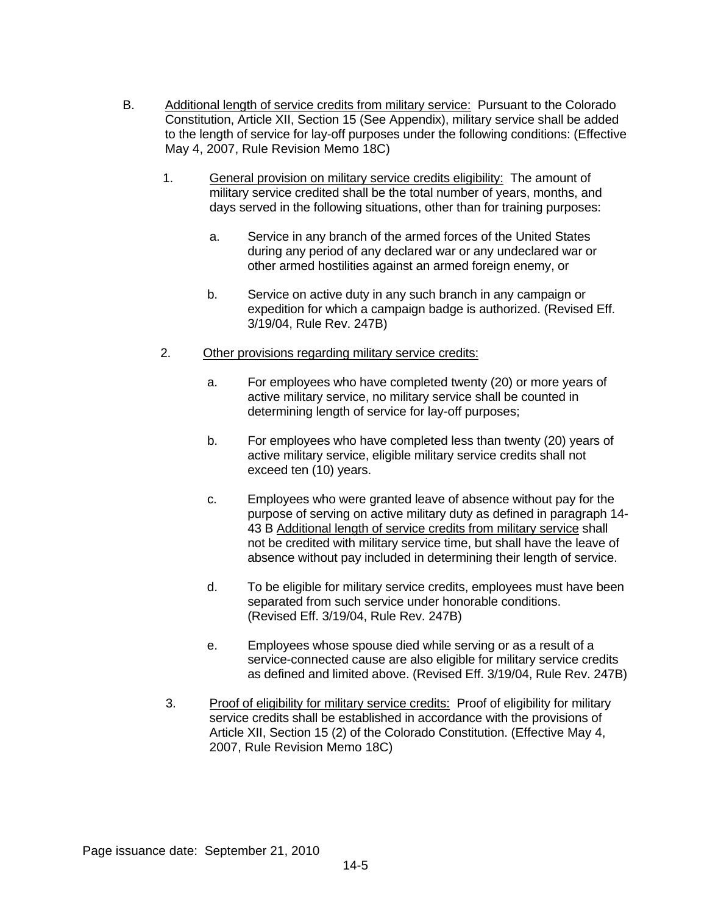- B. Additional length of service credits from military service: Pursuant to the Colorado Constitution, Article XII, Section 15 (See Appendix), military service shall be added to the length of service for lay-off purposes under the following conditions: (Effective May 4, 2007, Rule Revision Memo 18C)
	- 1. General provision on military service credits eligibility: The amount of military service credited shall be the total number of years, months, and days served in the following situations, other than for training purposes:
		- a. Service in any branch of the armed forces of the United States during any period of any declared war or any undeclared war or other armed hostilities against an armed foreign enemy, or
		- b. Service on active duty in any such branch in any campaign or expedition for which a campaign badge is authorized. (Revised Eff. 3/19/04, Rule Rev. 247B)
	- 2. Other provisions regarding military service credits:
		- a. For employees who have completed twenty (20) or more years of active military service, no military service shall be counted in determining length of service for lay-off purposes;
		- b. For employees who have completed less than twenty (20) years of active military service, eligible military service credits shall not exceed ten (10) years.
		- c. Employees who were granted leave of absence without pay for the purpose of serving on active military duty as defined in paragraph 14- 43 B Additional length of service credits from military service shall not be credited with military service time, but shall have the leave of absence without pay included in determining their length of service.
		- d. To be eligible for military service credits, employees must have been separated from such service under honorable conditions. (Revised Eff. 3/19/04, Rule Rev. 247B)
		- e. Employees whose spouse died while serving or as a result of a service-connected cause are also eligible for military service credits as defined and limited above. (Revised Eff. 3/19/04, Rule Rev. 247B)
	- 3. Proof of eligibility for military service credits: Proof of eligibility for military service credits shall be established in accordance with the provisions of Article XII, Section 15 (2) of the Colorado Constitution. (Effective May 4, 2007, Rule Revision Memo 18C)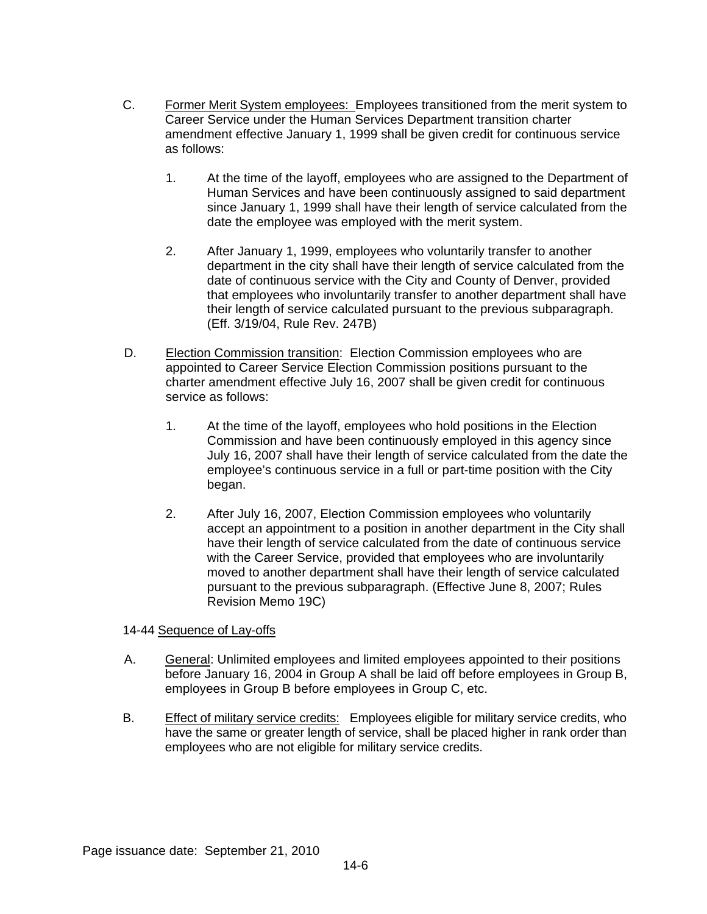- C. Former Merit System employees: Employees transitioned from the merit system to Career Service under the Human Services Department transition charter amendment effective January 1, 1999 shall be given credit for continuous service as follows:
	- 1. At the time of the layoff, employees who are assigned to the Department of Human Services and have been continuously assigned to said department since January 1, 1999 shall have their length of service calculated from the date the employee was employed with the merit system.
	- 2. After January 1, 1999, employees who voluntarily transfer to another department in the city shall have their length of service calculated from the date of continuous service with the City and County of Denver, provided that employees who involuntarily transfer to another department shall have their length of service calculated pursuant to the previous subparagraph. (Eff. 3/19/04, Rule Rev. 247B)
- D. Election Commission transition: Election Commission employees who are appointed to Career Service Election Commission positions pursuant to the charter amendment effective July 16, 2007 shall be given credit for continuous service as follows:
	- 1. At the time of the layoff, employees who hold positions in the Election Commission and have been continuously employed in this agency since July 16, 2007 shall have their length of service calculated from the date the employee's continuous service in a full or part-time position with the City began.
	- 2. After July 16, 2007, Election Commission employees who voluntarily accept an appointment to a position in another department in the City shall have their length of service calculated from the date of continuous service with the Career Service, provided that employees who are involuntarily moved to another department shall have their length of service calculated pursuant to the previous subparagraph. (Effective June 8, 2007; Rules Revision Memo 19C)

14-44 Sequence of Lay-offs

- A. General: Unlimited employees and limited employees appointed to their positions before January 16, 2004 in Group A shall be laid off before employees in Group B, employees in Group B before employees in Group C, etc.
- B. Effect of military service credits: Employees eligible for military service credits, who have the same or greater length of service, shall be placed higher in rank order than employees who are not eligible for military service credits.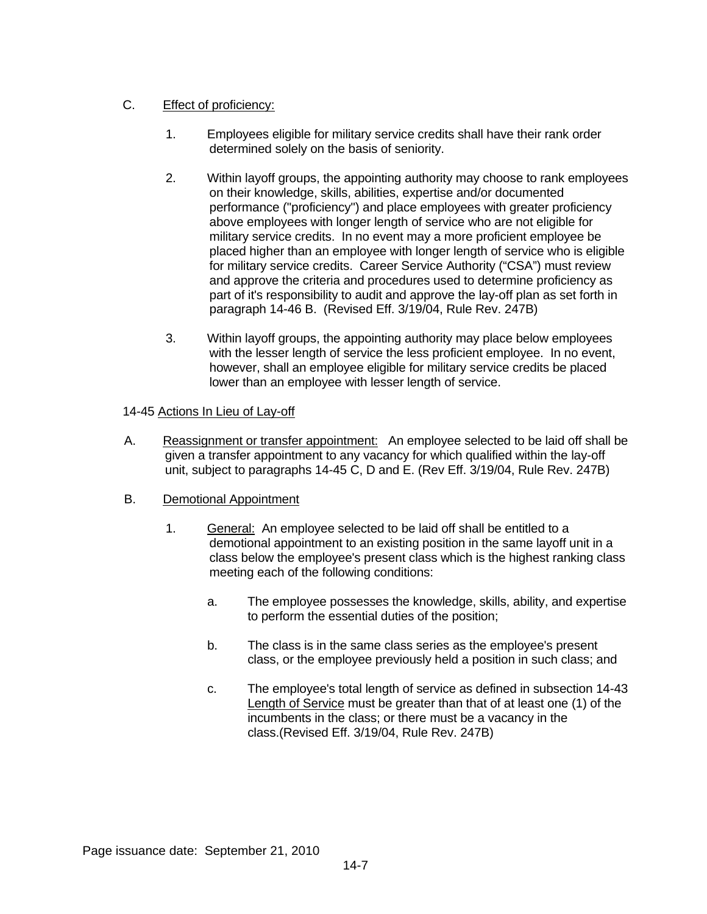# C. Effect of proficiency:

- 1. Employees eligible for military service credits shall have their rank order determined solely on the basis of seniority.
- 2. Within layoff groups, the appointing authority may choose to rank employees on their knowledge, skills, abilities, expertise and/or documented performance ("proficiency") and place employees with greater proficiency above employees with longer length of service who are not eligible for military service credits. In no event may a more proficient employee be placed higher than an employee with longer length of service who is eligible for military service credits. Career Service Authority ("CSA") must review and approve the criteria and procedures used to determine proficiency as part of it's responsibility to audit and approve the lay-off plan as set forth in paragraph 14-46 B. (Revised Eff. 3/19/04, Rule Rev. 247B)
- 3. Within layoff groups, the appointing authority may place below employees with the lesser length of service the less proficient employee. In no event, however, shall an employee eligible for military service credits be placed lower than an employee with lesser length of service.

# 14-45 Actions In Lieu of Lay-off

A. Reassignment or transfer appointment: An employee selected to be laid off shall be given a transfer appointment to any vacancy for which qualified within the lay-off unit, subject to paragraphs 14-45 C, D and E. (Rev Eff. 3/19/04, Rule Rev. 247B)

# B. Demotional Appointment

- 1. General: An employee selected to be laid off shall be entitled to a demotional appointment to an existing position in the same layoff unit in a class below the employee's present class which is the highest ranking class meeting each of the following conditions:
	- a. The employee possesses the knowledge, skills, ability, and expertise to perform the essential duties of the position;
	- b. The class is in the same class series as the employee's present class, or the employee previously held a position in such class; and
	- c. The employee's total length of service as defined in subsection 14-43 Length of Service must be greater than that of at least one (1) of the incumbents in the class; or there must be a vacancy in the class.(Revised Eff. 3/19/04, Rule Rev. 247B)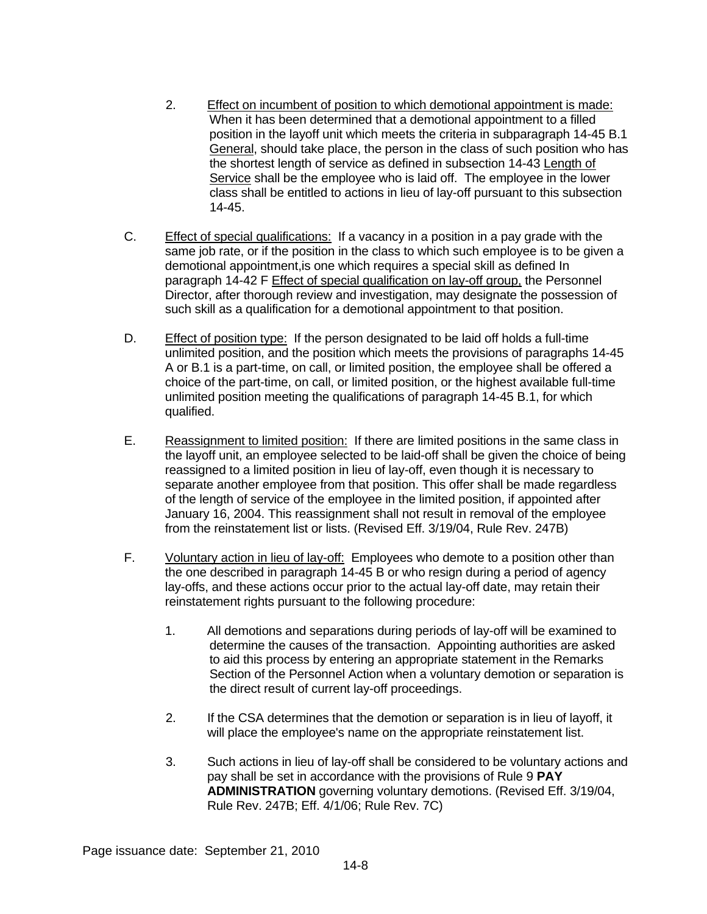- 2. Effect on incumbent of position to which demotional appointment is made: When it has been determined that a demotional appointment to a filled position in the layoff unit which meets the criteria in subparagraph 14-45 B.1 General, should take place, the person in the class of such position who has the shortest length of service as defined in subsection 14-43 Length of Service shall be the employee who is laid off. The employee in the lower class shall be entitled to actions in lieu of lay-off pursuant to this subsection 14-45.
- C. Effect of special qualifications: If a vacancy in a position in a pay grade with the same job rate, or if the position in the class to which such employee is to be given a demotional appointment,is one which requires a special skill as defined In paragraph 14-42 F Effect of special qualification on lay-off group, the Personnel Director, after thorough review and investigation, may designate the possession of such skill as a qualification for a demotional appointment to that position.
- D. Effect of position type: If the person designated to be laid off holds a full-time unlimited position, and the position which meets the provisions of paragraphs 14-45 A or B.1 is a part-time, on call, or limited position, the employee shall be offered a choice of the part-time, on call, or limited position, or the highest available full-time unlimited position meeting the qualifications of paragraph 14-45 B.1, for which qualified.
- E. Reassignment to limited position: If there are limited positions in the same class in the layoff unit, an employee selected to be laid-off shall be given the choice of being reassigned to a limited position in lieu of lay-off, even though it is necessary to separate another employee from that position. This offer shall be made regardless of the length of service of the employee in the limited position, if appointed after January 16, 2004. This reassignment shall not result in removal of the employee from the reinstatement list or lists. (Revised Eff. 3/19/04, Rule Rev. 247B)
- F. Voluntary action in lieu of lay-off: Employees who demote to a position other than the one described in paragraph 14-45 B or who resign during a period of agency lay-offs, and these actions occur prior to the actual lay-off date, may retain their reinstatement rights pursuant to the following procedure:
	- 1. All demotions and separations during periods of lay-off will be examined to determine the causes of the transaction. Appointing authorities are asked to aid this process by entering an appropriate statement in the Remarks Section of the Personnel Action when a voluntary demotion or separation is the direct result of current lay-off proceedings.
	- 2. If the CSA determines that the demotion or separation is in lieu of layoff, it will place the employee's name on the appropriate reinstatement list.
	- 3. Such actions in lieu of lay-off shall be considered to be voluntary actions and pay shall be set in accordance with the provisions of Rule 9 **PAY ADMINISTRATION** governing voluntary demotions. (Revised Eff. 3/19/04, Rule Rev. 247B; Eff. 4/1/06; Rule Rev. 7C)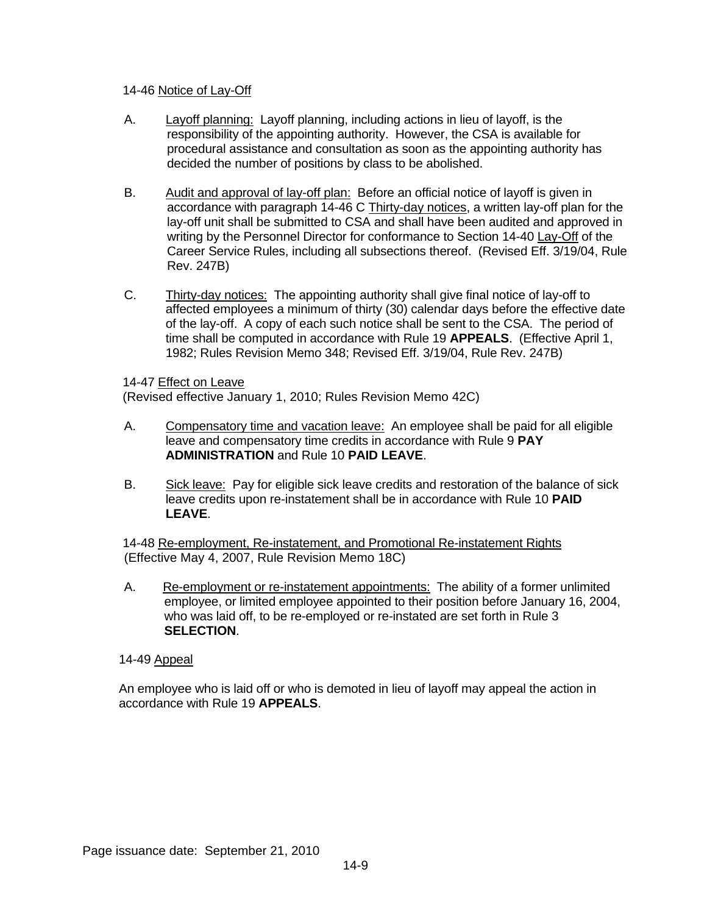# 14-46 Notice of Lay-Off

- A. Layoff planning: Layoff planning, including actions in lieu of layoff, is the responsibility of the appointing authority. However, the CSA is available for procedural assistance and consultation as soon as the appointing authority has decided the number of positions by class to be abolished.
- B. Audit and approval of lay-off plan: Before an official notice of layoff is given in accordance with paragraph 14-46 C Thirty-day notices, a written lay-off plan for the lay-off unit shall be submitted to CSA and shall have been audited and approved in writing by the Personnel Director for conformance to Section 14-40 Lay-Off of the Career Service Rules, including all subsections thereof. (Revised Eff. 3/19/04, Rule Rev. 247B)
- C. Thirty-day notices: The appointing authority shall give final notice of lay-off to affected employees a minimum of thirty (30) calendar days before the effective date of the lay-off. A copy of each such notice shall be sent to the CSA. The period of time shall be computed in accordance with Rule 19 **APPEALS**. (Effective April 1, 1982; Rules Revision Memo 348; Revised Eff. 3/19/04, Rule Rev. 247B)

#### 14-47 Effect on Leave (Revised effective January 1, 2010; Rules Revision Memo 42C)

- A. Compensatory time and vacation leave: An employee shall be paid for all eligible leave and compensatory time credits in accordance with Rule 9 **PAY ADMINISTRATION** and Rule 10 **PAID LEAVE**.
- B. Sick leave: Pay for eligible sick leave credits and restoration of the balance of sick leave credits upon re-instatement shall be in accordance with Rule 10 **PAID LEAVE**.

14-48 Re-employment, Re-instatement, and Promotional Re-instatement Rights (Effective May 4, 2007, Rule Revision Memo 18C)

A. Re-employment or re-instatement appointments: The ability of a former unlimited employee, or limited employee appointed to their position before January 16, 2004, who was laid off, to be re-employed or re-instated are set forth in Rule 3 **SELECTION**.

# 14-49 Appeal

An employee who is laid off or who is demoted in lieu of layoff may appeal the action in accordance with Rule 19 **APPEALS**.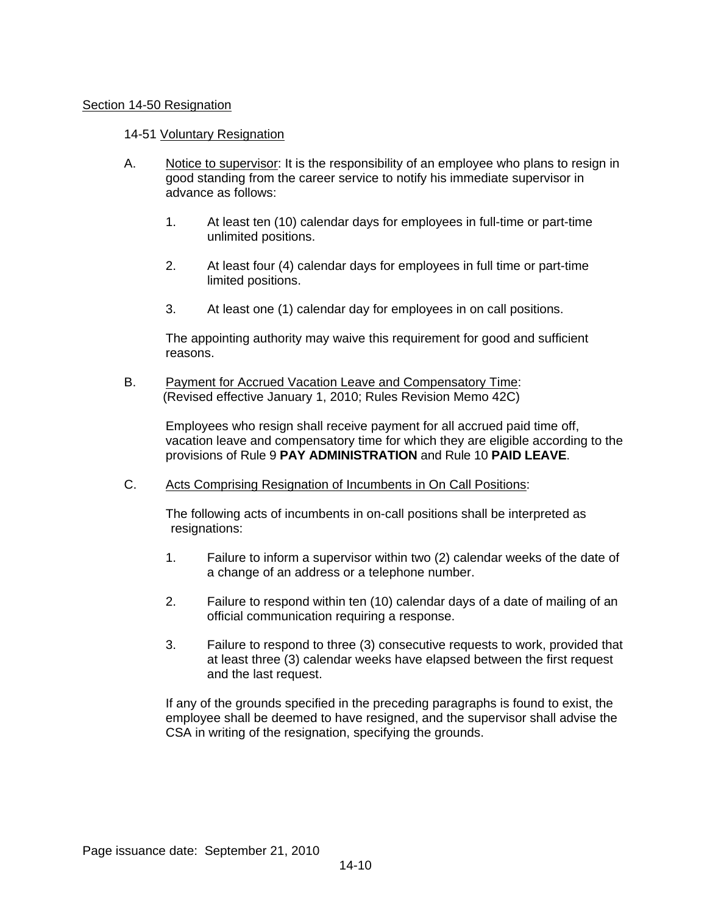## Section 14-50 Resignation

### 14-51 Voluntary Resignation

- A. Notice to supervisor: It is the responsibility of an employee who plans to resign in good standing from the career service to notify his immediate supervisor in advance as follows:
	- 1. At least ten (10) calendar days for employees in full-time or part-time unlimited positions.
	- 2. At least four (4) calendar days for employees in full time or part-time limited positions.
	- 3. At least one (1) calendar day for employees in on call positions.

The appointing authority may waive this requirement for good and sufficient reasons.

B. Payment for Accrued Vacation Leave and Compensatory Time: (Revised effective January 1, 2010; Rules Revision Memo 42C)

> Employees who resign shall receive payment for all accrued paid time off, vacation leave and compensatory time for which they are eligible according to the provisions of Rule 9 **PAY ADMINISTRATION** and Rule 10 **PAID LEAVE**.

C. Acts Comprising Resignation of Incumbents in On Call Positions:

The following acts of incumbents in on-call positions shall be interpreted as resignations:

- 1. Failure to inform a supervisor within two (2) calendar weeks of the date of a change of an address or a telephone number.
- 2. Failure to respond within ten (10) calendar days of a date of mailing of an official communication requiring a response.
- 3. Failure to respond to three (3) consecutive requests to work, provided that at least three (3) calendar weeks have elapsed between the first request and the last request.

If any of the grounds specified in the preceding paragraphs is found to exist, the employee shall be deemed to have resigned, and the supervisor shall advise the CSA in writing of the resignation, specifying the grounds.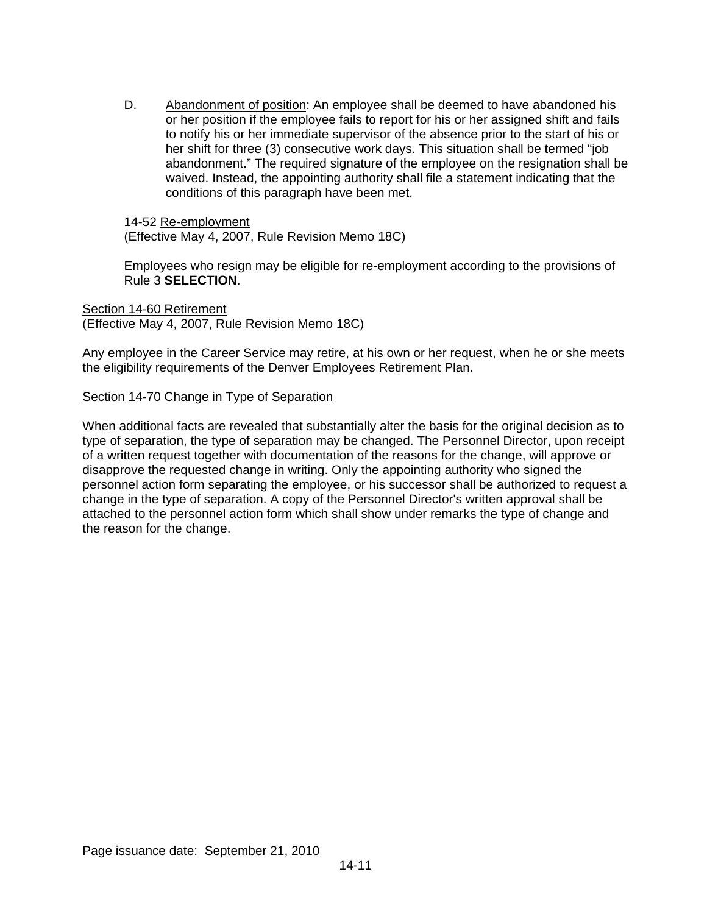D. Abandonment of position: An employee shall be deemed to have abandoned his or her position if the employee fails to report for his or her assigned shift and fails to notify his or her immediate supervisor of the absence prior to the start of his or her shift for three (3) consecutive work days. This situation shall be termed "job abandonment." The required signature of the employee on the resignation shall be waived. Instead, the appointing authority shall file a statement indicating that the conditions of this paragraph have been met.

#### 14-52 Re-employment

(Effective May 4, 2007, Rule Revision Memo 18C)

Employees who resign may be eligible for re-employment according to the provisions of Rule 3 **SELECTION**.

Section 14-60 Retirement (Effective May 4, 2007, Rule Revision Memo 18C)

Any employee in the Career Service may retire, at his own or her request, when he or she meets the eligibility requirements of the Denver Employees Retirement Plan.

# Section 14-70 Change in Type of Separation

When additional facts are revealed that substantially alter the basis for the original decision as to type of separation, the type of separation may be changed. The Personnel Director, upon receipt of a written request together with documentation of the reasons for the change, will approve or disapprove the requested change in writing. Only the appointing authority who signed the personnel action form separating the employee, or his successor shall be authorized to request a change in the type of separation. A copy of the Personnel Director's written approval shall be attached to the personnel action form which shall show under remarks the type of change and the reason for the change.